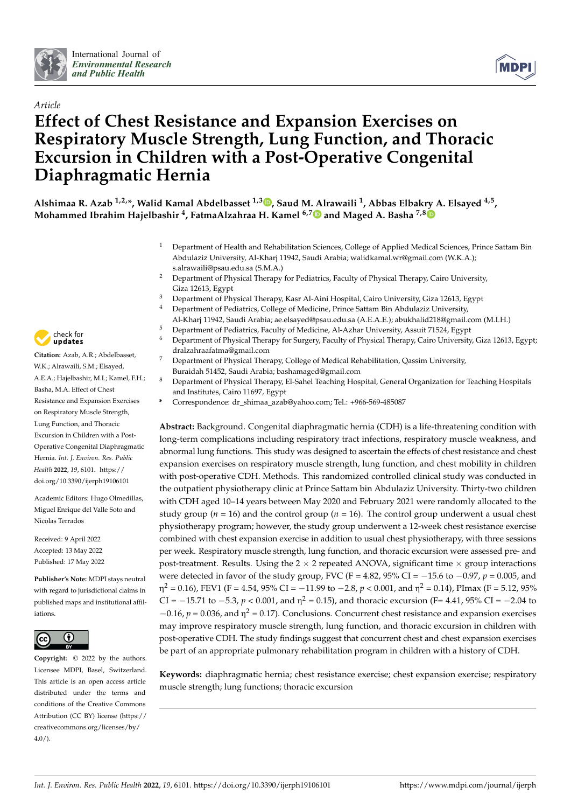



# *Article* **Effect of Chest Resistance and Expansion Exercises on Respiratory Muscle Strength, Lung Function, and Thoracic Excursion in Children with a Post-Operative Congenital Diaphragmatic Hernia**

**Alshimaa R. Azab 1,2,\*, Walid Kamal Abdelbasset 1,3 [,](https://orcid.org/0000-0003-4703-661X) Saud M. Alrawaili <sup>1</sup> , Abbas Elbakry A. Elsayed 4,5 , Mohammed Ibrahim Hajelbashir <sup>4</sup> , FatmaAlzahraa H. Kamel 6,[7](https://orcid.org/0000-0003-1546-6666) and Maged A. Basha 7,[8](https://orcid.org/0000-0002-3422-6193)**

- <sup>1</sup> Department of Health and Rehabilitation Sciences, College of Applied Medical Sciences, Prince Sattam Bin Abdulaziz University, Al-Kharj 11942, Saudi Arabia; walidkamal.wr@gmail.com (W.K.A.); s.alrawaili@psau.edu.sa (S.M.A.)
- <sup>2</sup> Department of Physical Therapy for Pediatrics, Faculty of Physical Therapy, Cairo University, Giza 12613, Egypt
- <sup>3</sup> Department of Physical Therapy, Kasr Al-Aini Hospital, Cairo University, Giza 12613, Egypt<br><sup>4</sup> Department of Podiatrics, College of Modisine, Prince Sattern Pin Abdulatin University.
	- <sup>4</sup> Department of Pediatrics, College of Medicine, Prince Sattam Bin Abdulaziz University,
- Al-Kharj 11942, Saudi Arabia; ae.elsayed@psau.edu.sa (A.E.A.E.); abukhalid218@gmail.com (M.I.H.)
- <sup>5</sup> Department of Pediatrics, Faculty of Medicine, Al-Azhar University, Assuit 71524, Egypt<br><sup>6</sup> Department of Physical Therapy for Surgery Faculty of Physical Therapy Cairo University
- <sup>6</sup> Department of Physical Therapy for Surgery, Faculty of Physical Therapy, Cairo University, Giza 12613, Egypt; dralzahraafatma@gmail.com
- <sup>7</sup> Department of Physical Therapy, College of Medical Rehabilitation, Qassim University, Buraidah 51452, Saudi Arabia; bashamaged@gmail.com
- <sup>8</sup> Department of Physical Therapy, El-Sahel Teaching Hospital, General Organization for Teaching Hospitals and Institutes, Cairo 11697, Egypt
- **\*** Correspondence: dr\_shimaa\_azab@yahoo.com; Tel.: +966-569-485087

**Abstract:** Background. Congenital diaphragmatic hernia (CDH) is a life-threatening condition with long-term complications including respiratory tract infections, respiratory muscle weakness, and abnormal lung functions. This study was designed to ascertain the effects of chest resistance and chest expansion exercises on respiratory muscle strength, lung function, and chest mobility in children with post-operative CDH. Methods. This randomized controlled clinical study was conducted in the outpatient physiotherapy clinic at Prince Sattam bin Abdulaziz University. Thirty-two children with CDH aged 10–14 years between May 2020 and February 2021 were randomly allocated to the study group ( $n = 16$ ) and the control group ( $n = 16$ ). The control group underwent a usual chest physiotherapy program; however, the study group underwent a 12-week chest resistance exercise combined with chest expansion exercise in addition to usual chest physiotherapy, with three sessions per week. Respiratory muscle strength, lung function, and thoracic excursion were assessed pre- and post-treatment. Results. Using the  $2 \times 2$  repeated ANOVA, significant time  $\times$  group interactions were detected in favor of the study group, FVC (F = 4.82, 95% CI = −15.6 to −0.97, *p* = 0.005, and η<sup>2</sup> = 0.16), FEV1 (F = 4.54, 95% CI = −11.99 to −2.8, *p* < 0.001, and η<sup>2</sup> = 0.14), PImax (F = 5.12, 95% CI =  $-15.71$  to  $-5.3$ , *p* < 0.001, and  $η<sup>2</sup> = 0.15$ ), and thoracic excursion (F= 4.41, 95% CI =  $-2.04$  to  $-0.16$ ,  $p = 0.036$ , and  $\eta^2 = 0.17$ ). Conclusions. Concurrent chest resistance and expansion exercises may improve respiratory muscle strength, lung function, and thoracic excursion in children with post-operative CDH. The study findings suggest that concurrent chest and chest expansion exercises be part of an appropriate pulmonary rehabilitation program in children with a history of CDH.

**Keywords:** diaphragmatic hernia; chest resistance exercise; chest expansion exercise; respiratory muscle strength; lung functions; thoracic excursion



**Citation:** Azab, A.R.; Abdelbasset, W.K.; Alrawaili, S.M.; Elsayed, A.E.A.; Hajelbashir, M.I.; Kamel, F.H.; Basha, M.A. Effect of Chest Resistance and Expansion Exercises on Respiratory Muscle Strength, Lung Function, and Thoracic Excursion in Children with a Post-Operative Congenital Diaphragmatic Hernia. *Int. J. Environ. Res. Public Health* **2022**, *19*, 6101. [https://](https://doi.org/10.3390/ijerph19106101) [doi.org/10.3390/ijerph19106101](https://doi.org/10.3390/ijerph19106101)

Academic Editors: Hugo Olmedillas, Miguel Enrique del Valle Soto and Nicolas Terrados

Received: 9 April 2022 Accepted: 13 May 2022 Published: 17 May 2022

**Publisher's Note:** MDPI stays neutral with regard to jurisdictional claims in published maps and institutional affiliations.



**Copyright:** © 2022 by the authors. Licensee MDPI, Basel, Switzerland. This article is an open access article distributed under the terms and conditions of the Creative Commons Attribution (CC BY) license [\(https://](https://creativecommons.org/licenses/by/4.0/) [creativecommons.org/licenses/by/](https://creativecommons.org/licenses/by/4.0/)  $4.0/$ ).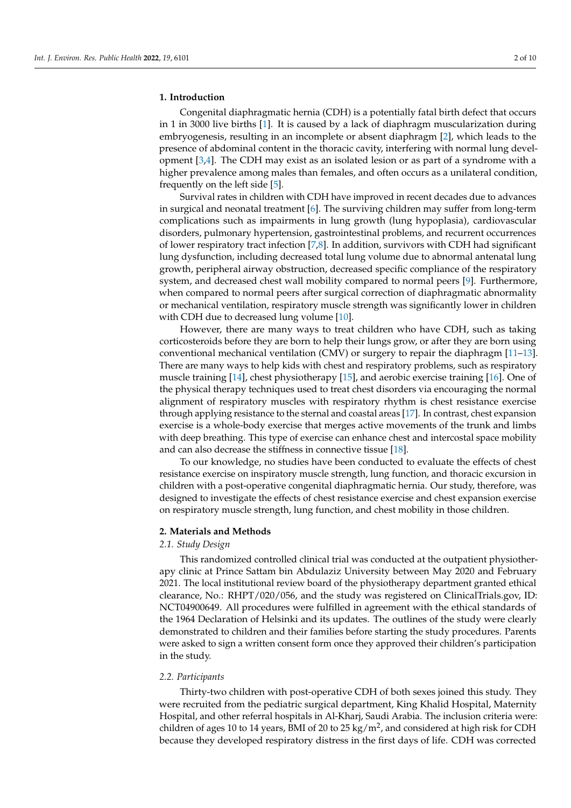# **1. Introduction**

Congenital diaphragmatic hernia (CDH) is a potentially fatal birth defect that occurs in 1 in 3000 live births [\[1\]](#page-7-0). It is caused by a lack of diaphragm muscularization during embryogenesis, resulting in an incomplete or absent diaphragm [\[2\]](#page-7-1), which leads to the presence of abdominal content in the thoracic cavity, interfering with normal lung development [\[3](#page-7-2)[,4\]](#page-7-3). The CDH may exist as an isolated lesion or as part of a syndrome with a higher prevalence among males than females, and often occurs as a unilateral condition, frequently on the left side [\[5\]](#page-7-4).

Survival rates in children with CDH have improved in recent decades due to advances in surgical and neonatal treatment [\[6\]](#page-7-5). The surviving children may suffer from long-term complications such as impairments in lung growth (lung hypoplasia), cardiovascular disorders, pulmonary hypertension, gastrointestinal problems, and recurrent occurrences of lower respiratory tract infection [\[7](#page-7-6)[,8\]](#page-7-7). In addition, survivors with CDH had significant lung dysfunction, including decreased total lung volume due to abnormal antenatal lung growth, peripheral airway obstruction, decreased specific compliance of the respiratory system, and decreased chest wall mobility compared to normal peers [\[9\]](#page-7-8). Furthermore, when compared to normal peers after surgical correction of diaphragmatic abnormality or mechanical ventilation, respiratory muscle strength was significantly lower in children with CDH due to decreased lung volume [\[10\]](#page-7-9).

However, there are many ways to treat children who have CDH, such as taking corticosteroids before they are born to help their lungs grow, or after they are born using conventional mechanical ventilation (CMV) or surgery to repair the diaphragm [\[11](#page-7-10)[–13\]](#page-8-0). There are many ways to help kids with chest and respiratory problems, such as respiratory muscle training [\[14\]](#page-8-1), chest physiotherapy [\[15\]](#page-8-2), and aerobic exercise training [\[16\]](#page-8-3). One of the physical therapy techniques used to treat chest disorders via encouraging the normal alignment of respiratory muscles with respiratory rhythm is chest resistance exercise through applying resistance to the sternal and coastal areas [\[17\]](#page-8-4). In contrast, chest expansion exercise is a whole-body exercise that merges active movements of the trunk and limbs with deep breathing. This type of exercise can enhance chest and intercostal space mobility and can also decrease the stiffness in connective tissue [\[18\]](#page-8-5).

To our knowledge, no studies have been conducted to evaluate the effects of chest resistance exercise on inspiratory muscle strength, lung function, and thoracic excursion in children with a post-operative congenital diaphragmatic hernia. Our study, therefore, was designed to investigate the effects of chest resistance exercise and chest expansion exercise on respiratory muscle strength, lung function, and chest mobility in those children.

#### **2. Materials and Methods**

# *2.1. Study Design*

This randomized controlled clinical trial was conducted at the outpatient physiotherapy clinic at Prince Sattam bin Abdulaziz University between May 2020 and February 2021. The local institutional review board of the physiotherapy department granted ethical clearance, No.: RHPT/020/056, and the study was registered on ClinicalTrials.gov, ID: NCT04900649. All procedures were fulfilled in agreement with the ethical standards of the 1964 Declaration of Helsinki and its updates. The outlines of the study were clearly demonstrated to children and their families before starting the study procedures. Parents were asked to sign a written consent form once they approved their children's participation in the study.

#### *2.2. Participants*

Thirty-two children with post-operative CDH of both sexes joined this study. They were recruited from the pediatric surgical department, King Khalid Hospital, Maternity Hospital, and other referral hospitals in Al-Kharj, Saudi Arabia. The inclusion criteria were: children of ages 10 to 14 years, BMI of 20 to 25 kg/m<sup>2</sup>, and considered at high risk for CDH because they developed respiratory distress in the first days of life. CDH was corrected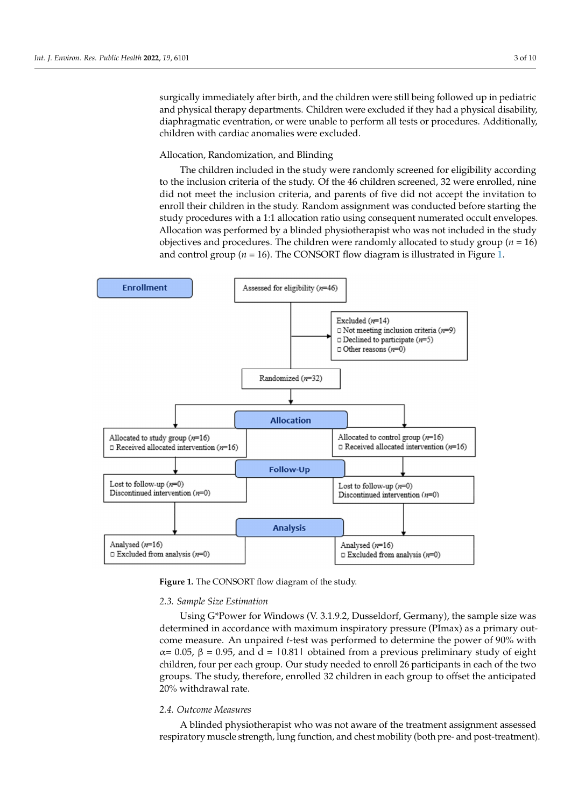surgically immediately after birth, and the children were still being followed up in pediatric and physical therapy departments. Children were excluded if they had a physical disability, and priyolear alerapy departments. Children were excluded in they had a priyolear disdomly,<br>diaphragmatic eventration, or were unable to perform all tests or procedures. Additionally, children with cardiac anomalies were excluded. physical disability discrete physical disability disability of the pro-

# Allocation, Randomization, and Blinding in the study were realistically were realistically according to the study of the study screen in the study of the study screen in the study of the study screen in the study of the st

The children included in the study were randomly screened for eligibility according to the inclusion criteria of the study. Of the 46 children screened, 32 were enrolled, nine did not meet the inclusion criteria, and parents of five did not accept the invitation to enroll their children in the study. Random assignment was conducted before starting the study procedures with a 1:1 allocation ratio using consequent numerated occult envelopes. Allocation was performed by a blinded physiotherapist who was not included in the study objectives and procedures. The children were randomly allocated to study group ( $n = 16$ ). and control group ( $n = 16$ ). The CONSORT flow diagram is illustrated in Figure [1.](#page-2-0)

<span id="page-2-0"></span>

**Figure 1.** The CONSORT flow diagram of the study. **Figure 1.** The CONSORT flow diagram of the study.

# *2.3. Sample Size Estimation 2.3. Sample Size Estimation*

Using G\*Power for Windows (V. 3.1.9.2, Dusseldorf, Germany), the sample size was Using G\*Power for Windows (V. 3.1.9.2, Dusseldorf, Germany), the sample size was determined in accordance with maximum inspiratory pressure (PImax) as a primary out-determined in accordance with maximum inspiratory pressure (PImax) as a primary outcome measure. An unpaired *t*-test was performed to determine the power of 90% with  $α= 0.05$ , β = 0.95, and d = |0.81| obtained from a previous preliminary study of eight children, four per each group. Our study needed to enroll 26 participants in each of the two group. groups. The study, therefore, enrolled 32 children in each group to offset the anticipated 20% with-20% withdrawal rate.

#### *2.4. Outcome Measures*

A blinded physiotherapist who was not aware of the treatment assignment assessed respiratory muscle strength, lung function, and chest mobility (both pre- and post-treatment).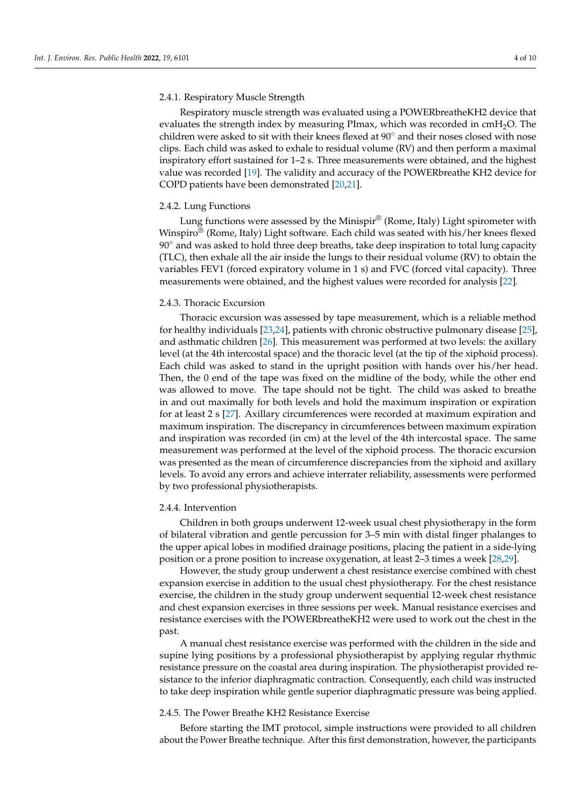#### 2.4.1. Respiratory Muscle Strength

Respiratory muscle strength was evaluated using a POWERbreatheKH2 device that evaluates the strength index by measuring PImax, which was recorded in  $cmH<sub>2</sub>O$ . The children were asked to sit with their knees flexed at 90◦ and their noses closed with nose clips. Each child was asked to exhale to residual volume (RV) and then perform a maximal inspiratory effort sustained for 1–2 s. Three measurements were obtained, and the highest value was recorded [\[19\]](#page-8-6). The validity and accuracy of the POWERbreathe KH2 device for COPD patients have been demonstrated [\[20](#page-8-7)[,21\]](#page-8-8).

#### 2.4.2. Lung Functions

Lung functions were assessed by the Minispir® (Rome, Italy) Light spirometer with Winspiro® (Rome, Italy) Light software. Each child was seated with his/her knees flexed 90 $\degree$  and was asked to hold three deep breaths, take deep inspiration to total lung capacity (TLC), then exhale all the air inside the lungs to their residual volume (RV) to obtain the variables FEV1 (forced expiratory volume in 1 s) and FVC (forced vital capacity). Three measurements were obtained, and the highest values were recorded for analysis [\[22\]](#page-8-9).

#### 2.4.3. Thoracic Excursion

Thoracic excursion was assessed by tape measurement, which is a reliable method for healthy individuals [\[23](#page-8-10)[,24\]](#page-8-11), patients with chronic obstructive pulmonary disease [\[25\]](#page-8-12), and asthmatic children [\[26\]](#page-8-13). This measurement was performed at two levels: the axillary level (at the 4th intercostal space) and the thoracic level (at the tip of the xiphoid process). Each child was asked to stand in the upright position with hands over his/her head. Then, the 0 end of the tape was fixed on the midline of the body, while the other end was allowed to move. The tape should not be tight. The child was asked to breathe in and out maximally for both levels and hold the maximum inspiration or expiration for at least 2 s [\[27\]](#page-8-14). Axillary circumferences were recorded at maximum expiration and maximum inspiration. The discrepancy in circumferences between maximum expiration and inspiration was recorded (in cm) at the level of the 4th intercostal space. The same measurement was performed at the level of the xiphoid process. The thoracic excursion was presented as the mean of circumference discrepancies from the xiphoid and axillary levels. To avoid any errors and achieve interrater reliability, assessments were performed by two professional physiotherapists.

#### 2.4.4. Intervention

Children in both groups underwent 12-week usual chest physiotherapy in the form of bilateral vibration and gentle percussion for 3–5 min with distal finger phalanges to the upper apical lobes in modified drainage positions, placing the patient in a side-lying position or a prone position to increase oxygenation, at least 2–3 times a week [\[28,](#page-8-15)[29\]](#page-8-16).

However, the study group underwent a chest resistance exercise combined with chest expansion exercise in addition to the usual chest physiotherapy. For the chest resistance exercise, the children in the study group underwent sequential 12-week chest resistance and chest expansion exercises in three sessions per week. Manual resistance exercises and resistance exercises with the POWERbreatheKH2 were used to work out the chest in the past.

A manual chest resistance exercise was performed with the children in the side and supine lying positions by a professional physiotherapist by applying regular rhythmic resistance pressure on the coastal area during inspiration. The physiotherapist provided resistance to the inferior diaphragmatic contraction. Consequently, each child was instructed to take deep inspiration while gentle superior diaphragmatic pressure was being applied.

#### 2.4.5. The Power Breathe KH2 Resistance Exercise

Before starting the IMT protocol, simple instructions were provided to all children about the Power Breathe technique. After this first demonstration, however, the participants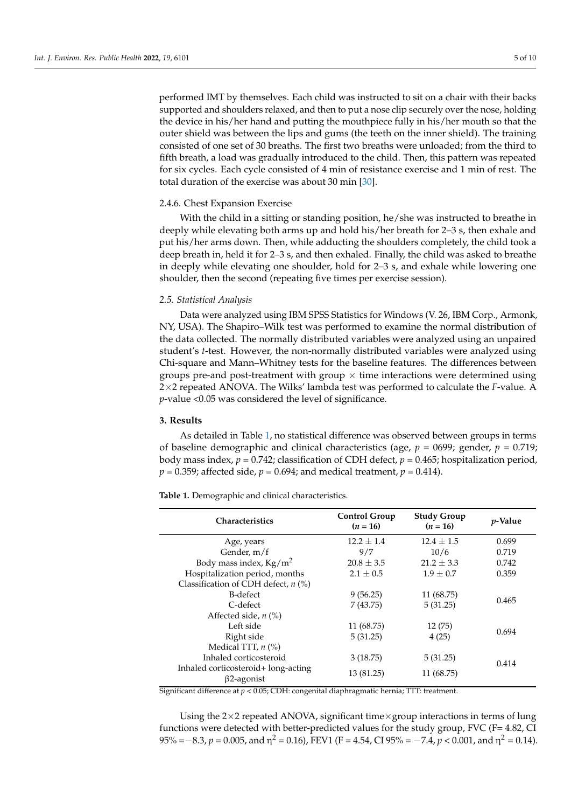performed IMT by themselves. Each child was instructed to sit on a chair with their backs supported and shoulders relaxed, and then to put a nose clip securely over the nose, holding the device in his/her hand and putting the mouthpiece fully in his/her mouth so that the outer shield was between the lips and gums (the teeth on the inner shield). The training consisted of one set of 30 breaths. The first two breaths were unloaded; from the third to fifth breath, a load was gradually introduced to the child. Then, this pattern was repeated for six cycles. Each cycle consisted of 4 min of resistance exercise and 1 min of rest. The total duration of the exercise was about 30 min [\[30\]](#page-8-17).

#### 2.4.6. Chest Expansion Exercise

With the child in a sitting or standing position, he/she was instructed to breathe in deeply while elevating both arms up and hold his/her breath for 2–3 s, then exhale and put his/her arms down. Then, while adducting the shoulders completely, the child took a deep breath in, held it for 2–3 s, and then exhaled. Finally, the child was asked to breathe in deeply while elevating one shoulder, hold for 2–3 s, and exhale while lowering one shoulder, then the second (repeating five times per exercise session).

#### *2.5. Statistical Analysis*

Data were analyzed using IBM SPSS Statistics for Windows (V. 26, IBM Corp., Armonk, NY, USA). The Shapiro–Wilk test was performed to examine the normal distribution of the data collected. The normally distributed variables were analyzed using an unpaired student's *t*-test. However, the non-normally distributed variables were analyzed using Chi-square and Mann–Whitney tests for the baseline features. The differences between groups pre-and post-treatment with group  $\times$  time interactions were determined using 2×2 repeated ANOVA. The Wilks' lambda test was performed to calculate the *F*-value. A *p*-value <0.05 was considered the level of significance.

## **3. Results**

As detailed in Table [1,](#page-4-0) no statistical difference was observed between groups in terms of baseline demographic and clinical characteristics (age, *p* = 0699; gender, *p* = 0.719; body mass index, *p* = 0.742; classification of CDH defect, *p* = 0.465; hospitalization period,  $p = 0.359$ ; affected side,  $p = 0.694$ ; and medical treatment,  $p = 0.414$ ).

<span id="page-4-0"></span>**Table 1.** Demographic and clinical characteristics.

| <b>Characteristics</b>                                   | <b>Control Group</b><br>$(n = 16)$ | <b>Study Group</b><br>$(n = 16)$ | <i>p</i> -Value |  |
|----------------------------------------------------------|------------------------------------|----------------------------------|-----------------|--|
| Age, years                                               | $12.2 + 1.4$                       | $12.4 + 1.5$                     | 0.699           |  |
| Gender, m/f                                              | 9/7                                | 10/6                             | 0.719           |  |
| Body mass index, $Kg/m^2$                                | $20.8 \pm 3.5$                     | $21.2 + 3.3$                     | 0.742           |  |
| Hospitalization period, months                           | $2.1 \pm 0.5$                      | $1.9 \pm 0.7$                    | 0.359           |  |
| Classification of CDH defect, $n$ (%)                    |                                    |                                  |                 |  |
| B-defect                                                 | 9(56.25)                           | 11 (68.75)                       | 0.465           |  |
| C-defect                                                 | 7(43.75)                           | 5(31.25)                         |                 |  |
| Affected side, $n$ (%)                                   |                                    |                                  |                 |  |
| Left side                                                | 11 (68.75)                         | 12(75)                           |                 |  |
| Right side                                               | 5(31.25)                           | 4(25)                            | 0.694           |  |
| Medical TTT, $n$ (%)                                     |                                    |                                  |                 |  |
| Inhaled corticosteroid                                   | 3(18.75)                           | 5(31.25)                         |                 |  |
| Inhaled corticosteroid+ long-acting<br>$\beta$ 2-agonist | 13 (81.25)                         | 11 (68.75)                       | 0.414           |  |

Significant difference at *p* < 0.05; CDH: congenital diaphragmatic hernia; TTT: treatment.

Using the  $2\times 2$  repeated ANOVA, significant time  $\times$  group interactions in terms of lung functions were detected with better-predicted values for the study group, FVC (F= 4.82, CI 95% = $-8.3$ ,  $p = 0.005$ , and  $\eta^2 = 0.16$ ), FEV1 (F = 4.54, CI 95% =  $-7.4$ ,  $p < 0.001$ , and  $\eta^2 = 0.14$ ).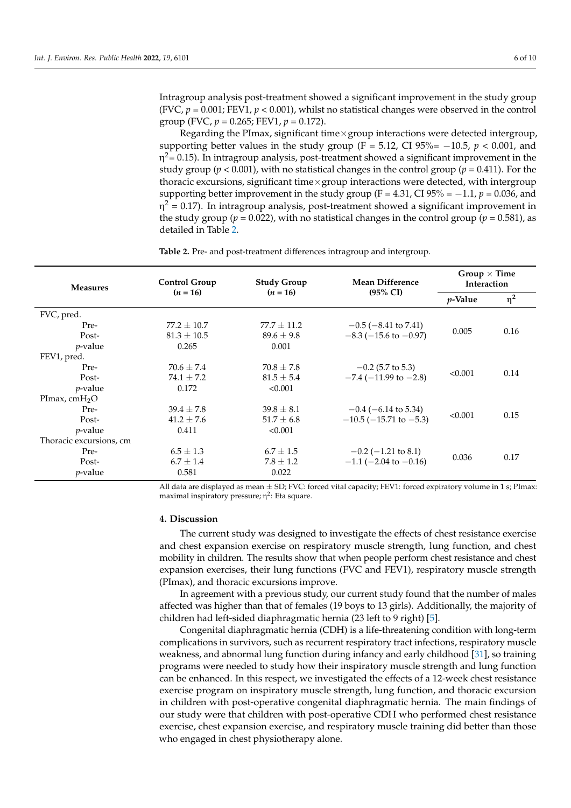Intragroup analysis post-treatment showed a significant improvement in the study group (FVC,  $p = 0.001$ ; FEV1,  $p < 0.001$ ), whilst no statistical changes were observed in the control group (FVC,  $p = 0.265$ ; FEV1,  $p = 0.172$ ).

Regarding the PImax, significant time $\times$ group interactions were detected intergroup, supporting better values in the study group (F = 5.12, CI 95%=  $-10.5$ ,  $p < 0.001$ , and η $^2$ = 0.15). In intragroup analysis, post-treatment showed a significant improvement in the study group ( $p < 0.001$ ), with no statistical changes in the control group ( $p = 0.411$ ). For the thoracic excursions, significant time $\times$ group interactions were detected, with intergroup supporting better improvement in the study group (F = 4.31, CI  $95\% = -1.1$ ,  $p = 0.036$ , and η<sup>2</sup> = 0.17). In intragroup analysis, post-treatment showed a significant improvement in the study group ( $p = 0.022$ ), with no statistical changes in the control group ( $p = 0.581$ ), as detailed in Table [2.](#page-5-0)

<span id="page-5-0"></span>**Table 2.** Pre- and post-treatment differences intragroup and intergroup.

| <b>Measures</b><br>$(n = 16)$ | <b>Control Group</b> | <b>Study Group</b><br>$(n = 16)$ | <b>Mean Difference</b><br>$(95\% \text{ CI})$ | Group $\times$ Time<br><b>Interaction</b> |          |
|-------------------------------|----------------------|----------------------------------|-----------------------------------------------|-------------------------------------------|----------|
|                               |                      |                                  |                                               | <i>p</i> -Value                           | $\eta^2$ |
| FVC, pred.                    |                      |                                  |                                               |                                           |          |
| Pre-                          | $77.2 + 10.7$        | $77.7 + 11.2$                    | $-0.5$ ( $-8.41$ to 7.41)                     | 0.005                                     | 0.16     |
| Post-                         | $81.3 \pm 10.5$      | $89.6 \pm 9.8$                   | $-8.3$ ( $-15.6$ to $-0.97$ )                 |                                           |          |
| $p$ -value                    | 0.265                | 0.001                            |                                               |                                           |          |
| FEV1, pred.                   |                      |                                  |                                               |                                           |          |
| Pre-                          | $70.6 \pm 7.4$       | $70.8 \pm 7.8$                   | $-0.2$ (5.7 to 5.3)                           | < 0.001                                   | 0.14     |
| Post-                         | $74.1 \pm 7.2$       | $81.5 + 5.4$                     | $-7.4$ ( $-11.99$ to $-2.8$ )                 |                                           |          |
| $p$ -value                    | 0.172                | < 0.001                          |                                               |                                           |          |
| PImax, $cmH2O$                |                      |                                  |                                               |                                           |          |
| Pre-                          | $39.4 \pm 7.8$       | $39.8 \pm 8.1$                   | $-0.4$ (-6.14 to 5.34)                        | < 0.001                                   | 0.15     |
| Post-                         | $41.2 \pm 7.6$       | $51.7 \pm 6.8$                   | $-10.5$ ( $-15.71$ to $-5.3$ )                |                                           |          |
| $p$ -value                    | 0.411                | < 0.001                          |                                               |                                           |          |
| Thoracic excursions, cm       |                      |                                  |                                               |                                           |          |
| Pre-                          | $6.5 \pm 1.3$        | $6.7 \pm 1.5$                    | $-0.2$ ( $-1.21$ to 8.1)                      | 0.036                                     | 0.17     |
| Post-                         | $6.7 \pm 1.4$        | $7.8 \pm 1.2$                    | $-1.1$ (-2.04 to -0.16)                       |                                           |          |
| <i>p</i> -value               | 0.581                | 0.022                            |                                               |                                           |          |

All data are displayed as mean  $\pm$  SD; FVC: forced vital capacity; FEV1: forced expiratory volume in 1 s; PImax: maximal inspiratory pressure; η 2 : Eta square.

#### **4. Discussion**

The current study was designed to investigate the effects of chest resistance exercise and chest expansion exercise on respiratory muscle strength, lung function, and chest mobility in children. The results show that when people perform chest resistance and chest expansion exercises, their lung functions (FVC and FEV1), respiratory muscle strength (PImax), and thoracic excursions improve.

In agreement with a previous study, our current study found that the number of males affected was higher than that of females (19 boys to 13 girls). Additionally, the majority of children had left-sided diaphragmatic hernia (23 left to 9 right) [\[5\]](#page-7-4).

Congenital diaphragmatic hernia (CDH) is a life-threatening condition with long-term complications in survivors, such as recurrent respiratory tract infections, respiratory muscle weakness, and abnormal lung function during infancy and early childhood [\[31\]](#page-8-18), so training programs were needed to study how their inspiratory muscle strength and lung function can be enhanced. In this respect, we investigated the effects of a 12-week chest resistance exercise program on inspiratory muscle strength, lung function, and thoracic excursion in children with post-operative congenital diaphragmatic hernia. The main findings of our study were that children with post-operative CDH who performed chest resistance exercise, chest expansion exercise, and respiratory muscle training did better than those who engaged in chest physiotherapy alone.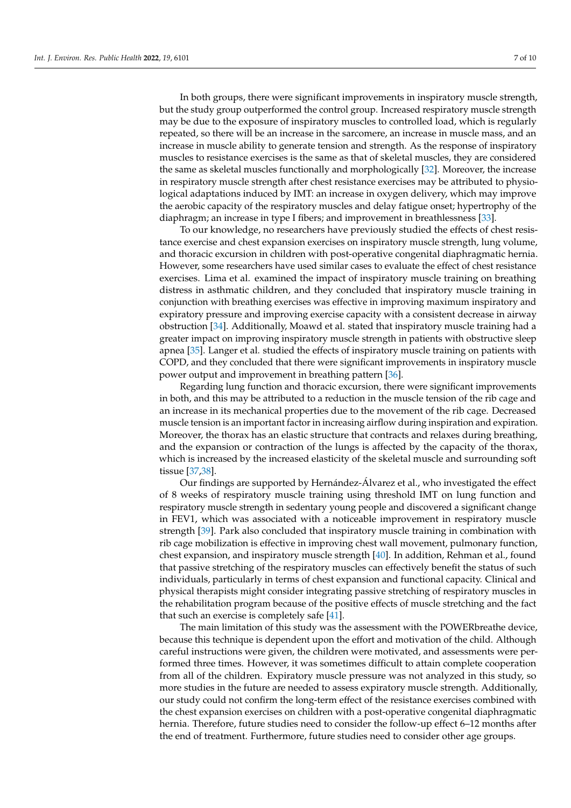In both groups, there were significant improvements in inspiratory muscle strength, but the study group outperformed the control group. Increased respiratory muscle strength may be due to the exposure of inspiratory muscles to controlled load, which is regularly repeated, so there will be an increase in the sarcomere, an increase in muscle mass, and an increase in muscle ability to generate tension and strength. As the response of inspiratory muscles to resistance exercises is the same as that of skeletal muscles, they are considered the same as skeletal muscles functionally and morphologically [\[32\]](#page-8-19). Moreover, the increase in respiratory muscle strength after chest resistance exercises may be attributed to physiological adaptations induced by IMT: an increase in oxygen delivery, which may improve the aerobic capacity of the respiratory muscles and delay fatigue onset; hypertrophy of the diaphragm; an increase in type I fibers; and improvement in breathlessness [\[33\]](#page-8-20).

To our knowledge, no researchers have previously studied the effects of chest resistance exercise and chest expansion exercises on inspiratory muscle strength, lung volume, and thoracic excursion in children with post-operative congenital diaphragmatic hernia. However, some researchers have used similar cases to evaluate the effect of chest resistance exercises. Lima et al. examined the impact of inspiratory muscle training on breathing distress in asthmatic children, and they concluded that inspiratory muscle training in conjunction with breathing exercises was effective in improving maximum inspiratory and expiratory pressure and improving exercise capacity with a consistent decrease in airway obstruction [\[34\]](#page-8-21). Additionally, Moawd et al. stated that inspiratory muscle training had a greater impact on improving inspiratory muscle strength in patients with obstructive sleep apnea [\[35\]](#page-8-22). Langer et al. studied the effects of inspiratory muscle training on patients with COPD, and they concluded that there were significant improvements in inspiratory muscle power output and improvement in breathing pattern [\[36\]](#page-8-23).

Regarding lung function and thoracic excursion, there were significant improvements in both, and this may be attributed to a reduction in the muscle tension of the rib cage and an increase in its mechanical properties due to the movement of the rib cage. Decreased muscle tension is an important factor in increasing airflow during inspiration and expiration. Moreover, the thorax has an elastic structure that contracts and relaxes during breathing, and the expansion or contraction of the lungs is affected by the capacity of the thorax, which is increased by the increased elasticity of the skeletal muscle and surrounding soft tissue [\[37,](#page-8-24)[38\]](#page-9-0).

Our findings are supported by Hernández-Álvarez et al., who investigated the effect of 8 weeks of respiratory muscle training using threshold IMT on lung function and respiratory muscle strength in sedentary young people and discovered a significant change in FEV1, which was associated with a noticeable improvement in respiratory muscle strength [\[39\]](#page-9-1). Park also concluded that inspiratory muscle training in combination with rib cage mobilization is effective in improving chest wall movement, pulmonary function, chest expansion, and inspiratory muscle strength [\[40\]](#page-9-2). In addition, Rehman et al., found that passive stretching of the respiratory muscles can effectively benefit the status of such individuals, particularly in terms of chest expansion and functional capacity. Clinical and physical therapists might consider integrating passive stretching of respiratory muscles in the rehabilitation program because of the positive effects of muscle stretching and the fact that such an exercise is completely safe [\[41\]](#page-9-3).

The main limitation of this study was the assessment with the POWERbreathe device, because this technique is dependent upon the effort and motivation of the child. Although careful instructions were given, the children were motivated, and assessments were performed three times. However, it was sometimes difficult to attain complete cooperation from all of the children. Expiratory muscle pressure was not analyzed in this study, so more studies in the future are needed to assess expiratory muscle strength. Additionally, our study could not confirm the long-term effect of the resistance exercises combined with the chest expansion exercises on children with a post-operative congenital diaphragmatic hernia. Therefore, future studies need to consider the follow-up effect 6–12 months after the end of treatment. Furthermore, future studies need to consider other age groups.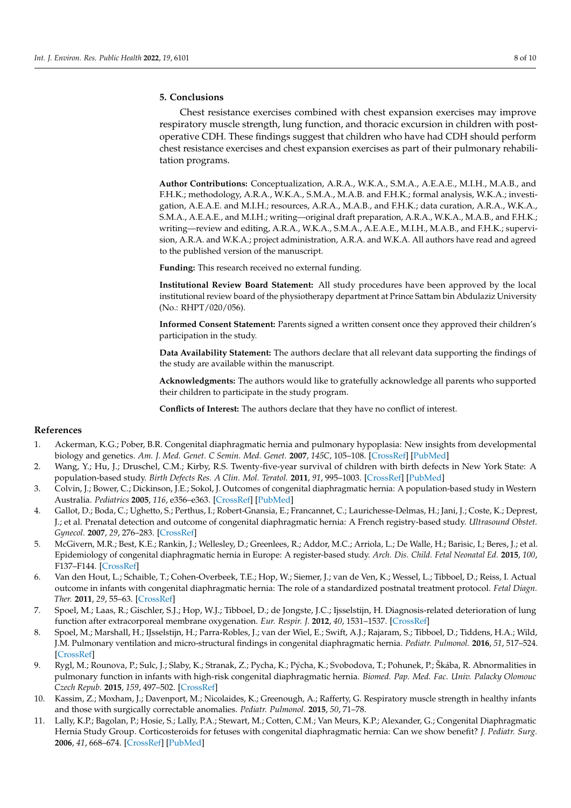### **5. Conclusions**

Chest resistance exercises combined with chest expansion exercises may improve respiratory muscle strength, lung function, and thoracic excursion in children with postoperative CDH. These findings suggest that children who have had CDH should perform chest resistance exercises and chest expansion exercises as part of their pulmonary rehabilitation programs.

**Author Contributions:** Conceptualization, A.R.A., W.K.A., S.M.A., A.E.A.E., M.I.H., M.A.B., and F.H.K.; methodology, A.R.A., W.K.A., S.M.A., M.A.B. and F.H.K.; formal analysis, W.K.A.; investigation, A.E.A.E. and M.I.H.; resources, A.R.A., M.A.B., and F.H.K.; data curation, A.R.A., W.K.A., S.M.A., A.E.A.E., and M.I.H.; writing—original draft preparation, A.R.A., W.K.A., M.A.B., and F.H.K.; writing—review and editing, A.R.A., W.K.A., S.M.A., A.E.A.E., M.I.H., M.A.B., and F.H.K.; supervision, A.R.A. and W.K.A.; project administration, A.R.A. and W.K.A. All authors have read and agreed to the published version of the manuscript.

**Funding:** This research received no external funding.

**Institutional Review Board Statement:** All study procedures have been approved by the local institutional review board of the physiotherapy department at Prince Sattam bin Abdulaziz University (No.: RHPT/020/056).

**Informed Consent Statement:** Parents signed a written consent once they approved their children's participation in the study.

**Data Availability Statement:** The authors declare that all relevant data supporting the findings of the study are available within the manuscript.

**Acknowledgments:** The authors would like to gratefully acknowledge all parents who supported their children to participate in the study program.

**Conflicts of Interest:** The authors declare that they have no conflict of interest.

#### **References**

- <span id="page-7-0"></span>1. Ackerman, K.G.; Pober, B.R. Congenital diaphragmatic hernia and pulmonary hypoplasia: New insights from developmental biology and genetics. *Am. J. Med. Genet. C Semin. Med. Genet.* **2007**, *145C*, 105–108. [\[CrossRef\]](http://doi.org/10.1002/ajmg.c.30133) [\[PubMed\]](http://www.ncbi.nlm.nih.gov/pubmed/17436306)
- <span id="page-7-1"></span>2. Wang, Y.; Hu, J.; Druschel, C.M.; Kirby, R.S. Twenty-five-year survival of children with birth defects in New York State: A population-based study. *Birth Defects Res. A Clin. Mol. Teratol.* **2011**, *91*, 995–1003. [\[CrossRef\]](http://doi.org/10.1002/bdra.22858) [\[PubMed\]](http://www.ncbi.nlm.nih.gov/pubmed/21960515)
- <span id="page-7-2"></span>3. Colvin, J.; Bower, C.; Dickinson, J.E.; Sokol, J. Outcomes of congenital diaphragmatic hernia: A population-based study in Western Australia. *Pediatrics* **2005**, *116*, e356–e363. [\[CrossRef\]](http://doi.org/10.1542/peds.2004-2845) [\[PubMed\]](http://www.ncbi.nlm.nih.gov/pubmed/16140678)
- <span id="page-7-3"></span>4. Gallot, D.; Boda, C.; Ughetto, S.; Perthus, I.; Robert-Gnansia, E.; Francannet, C.; Laurichesse-Delmas, H.; Jani, J.; Coste, K.; Deprest, J.; et al. Prenatal detection and outcome of congenital diaphragmatic hernia: A French registry-based study. *Ultrasound Obstet. Gynecol.* **2007**, *29*, 276–283. [\[CrossRef\]](http://doi.org/10.1002/uog.3863)
- <span id="page-7-4"></span>5. McGivern, M.R.; Best, K.E.; Rankin, J.; Wellesley, D.; Greenlees, R.; Addor, M.C.; Arriola, L.; De Walle, H.; Barisic, I.; Beres, J.; et al. Epidemiology of congenital diaphragmatic hernia in Europe: A register-based study. *Arch. Dis. Child. Fetal Neonatal Ed.* **2015**, *100*, F137–F144. [\[CrossRef\]](http://doi.org/10.1136/archdischild-2014-306174)
- <span id="page-7-5"></span>6. Van den Hout, L.; Schaible, T.; Cohen-Overbeek, T.E.; Hop, W.; Siemer, J.; van de Ven, K.; Wessel, L.; Tibboel, D.; Reiss, I. Actual outcome in infants with congenital diaphragmatic hernia: The role of a standardized postnatal treatment protocol. *Fetal Diagn. Ther.* **2011**, *29*, 55–63. [\[CrossRef\]](http://doi.org/10.1159/000322694)
- <span id="page-7-6"></span>7. Spoel, M.; Laas, R.; Gischler, S.J.; Hop, W.J.; Tibboel, D.; de Jongste, J.C.; Ijsselstijn, H. Diagnosis-related deterioration of lung function after extracorporeal membrane oxygenation. *Eur. Respir. J.* **2012**, *40*, 1531–1537. [\[CrossRef\]](http://doi.org/10.1183/09031936.00189911)
- <span id="page-7-7"></span>8. Spoel, M.; Marshall, H.; IJsselstijn, H.; Parra-Robles, J.; van der Wiel, E.; Swift, A.J.; Rajaram, S.; Tibboel, D.; Tiddens, H.A.; Wild, J.M. Pulmonary ventilation and micro-structural findings in congenital diaphragmatic hernia. *Pediatr. Pulmonol.* **2016**, *51*, 517–524. [\[CrossRef\]](http://doi.org/10.1002/ppul.23325)
- <span id="page-7-8"></span>9. Rygl, M.; Rounova, P.; Sulc, J.; Slaby, K.; Stranak, Z.; Pycha, K.; Pýcha, K.; Svobodova, T.; Pohunek, P.; Škába, R. Abnormalities in pulmonary function in infants with high-risk congenital diaphragmatic hernia. *Biomed. Pap. Med. Fac. Univ. Palacky Olomouc Czech Repub.* **2015**, *159*, 497–502. [\[CrossRef\]](http://doi.org/10.5507/bp.2015.040)
- <span id="page-7-9"></span>10. Kassim, Z.; Moxham, J.; Davenport, M.; Nicolaides, K.; Greenough, A.; Rafferty, G. Respiratory muscle strength in healthy infants and those with surgically correctable anomalies. *Pediatr. Pulmonol.* **2015**, *50*, 71–78.
- <span id="page-7-10"></span>11. Lally, K.P.; Bagolan, P.; Hosie, S.; Lally, P.A.; Stewart, M.; Cotten, C.M.; Van Meurs, K.P.; Alexander, G.; Congenital Diaphragmatic Hernia Study Group. Corticosteroids for fetuses with congenital diaphragmatic hernia: Can we show benefit? *J. Pediatr. Surg.* **2006**, *41*, 668–674. [\[CrossRef\]](http://doi.org/10.1016/j.jpedsurg.2005.12.007) [\[PubMed\]](http://www.ncbi.nlm.nih.gov/pubmed/16567174)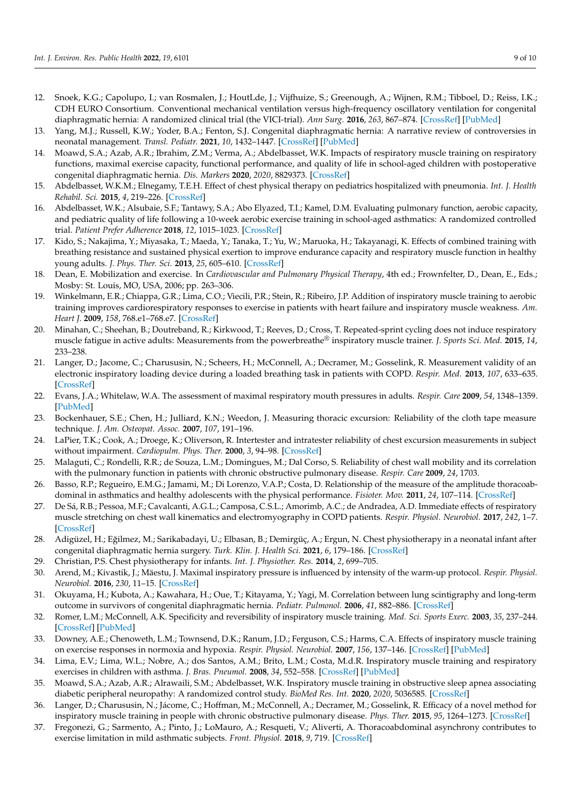- 12. Snoek, K.G.; Capolupo, I.; van Rosmalen, J.; HoutLde, J.; Vijfhuize, S.; Greenough, A.; Wijnen, R.M.; Tibboel, D.; Reiss, I.K.; CDH EURO Consortium. Conventional mechanical ventilation versus high-frequency oscillatory ventilation for congenital diaphragmatic hernia: A randomized clinical trial (the VICI-trial). *Ann Surg.* **2016**, *263*, 867–874. [\[CrossRef\]](http://doi.org/10.1097/SLA.0000000000001533) [\[PubMed\]](http://www.ncbi.nlm.nih.gov/pubmed/26692079)
- <span id="page-8-0"></span>13. Yang, M.J.; Russell, K.W.; Yoder, B.A.; Fenton, S.J. Congenital diaphragmatic hernia: A narrative review of controversies in neonatal management. *Transl. Pediatr.* **2021**, *10*, 1432–1447. [\[CrossRef\]](http://doi.org/10.21037/tp-20-142) [\[PubMed\]](http://www.ncbi.nlm.nih.gov/pubmed/34189103)
- <span id="page-8-1"></span>14. Moawd, S.A.; Azab, A.R.; Ibrahim, Z.M.; Verma, A.; Abdelbasset, W.K. Impacts of respiratory muscle training on respiratory functions, maximal exercise capacity, functional performance, and quality of life in school-aged children with postoperative congenital diaphragmatic hernia. *Dis. Markers* **2020**, *2020*, 8829373. [\[CrossRef\]](http://doi.org/10.1155/2020/8829373)
- <span id="page-8-2"></span>15. Abdelbasset, W.K.M.; Elnegamy, T.E.H. Effect of chest physical therapy on pediatrics hospitalized with pneumonia. *Int. J. Health Rehabil. Sci.* **2015**, *4*, 219–226. [\[CrossRef\]](http://doi.org/10.5455/ijhrs.000000095)
- <span id="page-8-3"></span>16. Abdelbasset, W.K.; Alsubaie, S.F.; Tantawy, S.A.; Abo Elyazed, T.I.; Kamel, D.M. Evaluating pulmonary function, aerobic capacity, and pediatric quality of life following a 10-week aerobic exercise training in school-aged asthmatics: A randomized controlled trial. *Patient Prefer Adherence* **2018**, *12*, 1015–1023. [\[CrossRef\]](http://doi.org/10.2147/PPA.S159622)
- <span id="page-8-4"></span>17. Kido, S.; Nakajima, Y.; Miyasaka, T.; Maeda, Y.; Tanaka, T.; Yu, W.; Maruoka, H.; Takayanagi, K. Effects of combined training with breathing resistance and sustained physical exertion to improve endurance capacity and respiratory muscle function in healthy young adults. *J. Phys. Ther. Sci.* **2013**, *25*, 605–610. [\[CrossRef\]](http://doi.org/10.1589/jpts.25.605)
- <span id="page-8-5"></span>18. Dean, E. Mobilization and exercise. In *Cardiovascular and Pulmonary Physical Therapy*, 4th ed.; Frownfelter, D., Dean, E., Eds.; Mosby: St. Louis, MO, USA, 2006; pp. 263–306.
- <span id="page-8-6"></span>19. Winkelmann, E.R.; Chiappa, G.R.; Lima, C.O.; Viecili, P.R.; Stein, R.; Ribeiro, J.P. Addition of inspiratory muscle training to aerobic training improves cardiorespiratory responses to exercise in patients with heart failure and inspiratory muscle weakness. *Am. Heart J.* **2009**, *158*, 768.e1–768.e7. [\[CrossRef\]](http://doi.org/10.1016/j.ahj.2009.09.005)
- <span id="page-8-7"></span>20. Minahan, C.; Sheehan, B.; Doutreband, R.; Kirkwood, T.; Reeves, D.; Cross, T. Repeated-sprint cycling does not induce respiratory muscle fatigue in active adults: Measurements from the powerbreathe® inspiratory muscle trainer. *J. Sports Sci. Med.* **2015**, *14*, 233–238.
- <span id="page-8-8"></span>21. Langer, D.; Jacome, C.; Charususin, N.; Scheers, H.; McConnell, A.; Decramer, M.; Gosselink, R. Measurement validity of an electronic inspiratory loading device during a loaded breathing task in patients with COPD. *Respir. Med.* **2013**, *107*, 633–635. [\[CrossRef\]](http://doi.org/10.1016/j.rmed.2013.01.020)
- <span id="page-8-9"></span>22. Evans, J.A.; Whitelaw, W.A. The assessment of maximal respiratory mouth pressures in adults. *Respir. Care* **2009**, *54*, 1348–1359. [\[PubMed\]](http://www.ncbi.nlm.nih.gov/pubmed/19796415)
- <span id="page-8-10"></span>23. Bockenhauer, S.E.; Chen, H.; Julliard, K.N.; Weedon, J. Measuring thoracic excursion: Reliability of the cloth tape measure technique. *J. Am. Osteopat. Assoc.* **2007**, *107*, 191–196.
- <span id="page-8-11"></span>24. LaPier, T.K.; Cook, A.; Droege, K.; Oliverson, R. Intertester and intratester reliability of chest excursion measurements in subject without impairment. *Cardiopulm. Phys. Ther.* **2000**, *3*, 94–98. [\[CrossRef\]](http://doi.org/10.1097/01823246-200011030-00002)
- <span id="page-8-12"></span>25. Malaguti, C.; Rondelli, R.R.; de Souza, L.M.; Domingues, M.; Dal Corso, S. Reliability of chest wall mobility and its correlation with the pulmonary function in patients with chronic obstructive pulmonary disease. *Respir. Care* **2009**, *24*, 1703.
- <span id="page-8-13"></span>26. Basso, R.P.; Regueiro, E.M.G.; Jamami, M.; Di Lorenzo, V.A.P.; Costa, D. Relationship of the measure of the amplitude thoracoabdominal in asthmatics and healthy adolescents with the physical performance. *Fisioter. Mov.* **2011**, *24*, 107–114. [\[CrossRef\]](http://doi.org/10.1590/S0103-51502011000100012)
- <span id="page-8-14"></span>27. De Sá, R.B.; Pessoa, M.F.; Cavalcanti, A.G.L.; Camposa, C.S.L.; Amorimb, A.C.; de Andradea, A.D. Immediate effects of respiratory muscle stretching on chest wall kinematics and electromyography in COPD patients. *Respir. Physiol. Neurobiol.* **2017**, *242*, 1–7. [\[CrossRef\]](http://doi.org/10.1016/j.resp.2017.03.002)
- <span id="page-8-15"></span>28. Adigüzel, H.; Eğilmez, M.; Sarikabadayi, U.; Elbasan, B.; Demirgüç, A.; Ergun, N. Chest physiotherapy in a neonatal infant after congenital diaphragmatic hernia surgery. *Turk. Klin. J. Health Sci.* **2021**, *6*, 179–186. [\[CrossRef\]](http://doi.org/10.5336/healthsci.2020-74044)
- <span id="page-8-16"></span>29. Christian, P.S. Chest physiotherapy for infants. *Int. J. Physiother. Res.* **2014**, *2*, 699–705.
- <span id="page-8-17"></span>30. Arend, M.; Kivastik, J.; Mäestu, J. Maximal inspiratory pressure is influenced by intensity of the warm-up protocol. *Respir. Physiol. Neurobiol.* **2016**, *230*, 11–15. [\[CrossRef\]](http://doi.org/10.1016/j.resp.2016.05.002)
- <span id="page-8-18"></span>31. Okuyama, H.; Kubota, A.; Kawahara, H.; Oue, T.; Kitayama, Y.; Yagi, M. Correlation between lung scintigraphy and long-term outcome in survivors of congenital diaphragmatic hernia. *Pediatr. Pulmonol.* **2006**, *41*, 882–886. [\[CrossRef\]](http://doi.org/10.1002/ppul.20466)
- <span id="page-8-19"></span>32. Romer, L.M.; McConnell, A.K. Specificity and reversibility of inspiratory muscle training. *Med. Sci. Sports Exerc.* **2003**, *35*, 237–244. [\[CrossRef\]](http://doi.org/10.1249/01.MSS.0000048642.58419.1E) [\[PubMed\]](http://www.ncbi.nlm.nih.gov/pubmed/12569211)
- <span id="page-8-20"></span>33. Downey, A.E.; Chenoweth, L.M.; Townsend, D.K.; Ranum, J.D.; Ferguson, C.S.; Harms, C.A. Effects of inspiratory muscle training on exercise responses in normoxia and hypoxia. *Respir. Physiol. Neurobiol.* **2007**, *156*, 137–146. [\[CrossRef\]](http://doi.org/10.1016/j.resp.2006.08.006) [\[PubMed\]](http://www.ncbi.nlm.nih.gov/pubmed/16996322)
- <span id="page-8-21"></span>34. Lima, E.V.; Lima, W.L.; Nobre, A.; dos Santos, A.M.; Brito, L.M.; Costa, M.d.R. Inspiratory muscle training and respiratory exercises in children with asthma. *J. Bras. Pneumol.* **2008**, *34*, 552–558. [\[CrossRef\]](http://doi.org/10.1590/S1806-37132008000800003) [\[PubMed\]](http://www.ncbi.nlm.nih.gov/pubmed/18797738)
- <span id="page-8-22"></span>35. Moawd, S.A.; Azab, A.R.; Alrawaili, S.M.; Abdelbasset, W.K. Inspiratory muscle training in obstructive sleep apnea associating diabetic peripheral neuropathy: A randomized control study. *BioMed Res. Int.* **2020**, *2020*, 5036585. [\[CrossRef\]](http://doi.org/10.1155/2020/5036585)
- <span id="page-8-23"></span>36. Langer, D.; Charususin, N.; Jácome, C.; Hoffman, M.; McConnell, A.; Decramer, M.; Gosselink, R. Efficacy of a novel method for inspiratory muscle training in people with chronic obstructive pulmonary disease. *Phys. Ther.* **2015**, *95*, 1264–1273. [\[CrossRef\]](http://doi.org/10.2522/ptj.20140245)
- <span id="page-8-24"></span>37. Fregonezi, G.; Sarmento, A.; Pinto, J.; LoMauro, A.; Resqueti, V.; Aliverti, A. Thoracoabdominal asynchrony contributes to exercise limitation in mild asthmatic subjects. *Front. Physiol.* **2018**, *9*, 719. [\[CrossRef\]](http://doi.org/10.3389/fphys.2018.00719)